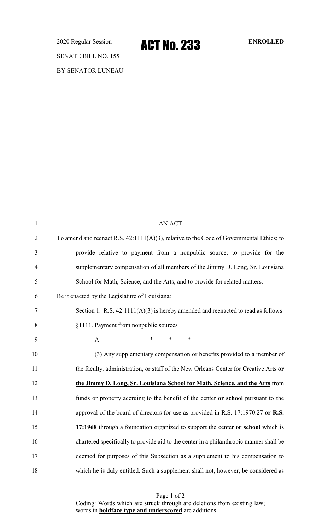2020 Regular Session **ACT NO. 233** ENROLLED SENATE BILL NO. 155 BY SENATOR LUNEAU

| $\mathbf{1}$   | <b>AN ACT</b>                                                                            |
|----------------|------------------------------------------------------------------------------------------|
| $\overline{2}$ | To amend and reenact R.S. 42:1111(A)(3), relative to the Code of Governmental Ethics; to |
| 3              | provide relative to payment from a nonpublic source; to provide for the                  |
| $\overline{4}$ | supplementary compensation of all members of the Jimmy D. Long, Sr. Louisiana            |
| 5              | School for Math, Science, and the Arts; and to provide for related matters.              |
| 6              | Be it enacted by the Legislature of Louisiana:                                           |
| $\tau$         | Section 1. R.S. $42:1111(A)(3)$ is hereby amended and reenacted to read as follows:      |
| 8              | §1111. Payment from nonpublic sources                                                    |
| 9              | $\ast$<br>$\ast$<br>$\ast$<br>A.                                                         |
| 10             | (3) Any supplementary compensation or benefits provided to a member of                   |
| 11             | the faculty, administration, or staff of the New Orleans Center for Creative Arts or     |
| 12             | the Jimmy D. Long, Sr. Louisiana School for Math, Science, and the Arts from             |
| 13             | funds or property accruing to the benefit of the center or school pursuant to the        |
| 14             | approval of the board of directors for use as provided in R.S. 17:1970.27 or R.S.        |
| 15             | 17:1968 through a foundation organized to support the center or school which is          |
| 16             | chartered specifically to provide aid to the center in a philanthropic manner shall be   |
| 17             | deemed for purposes of this Subsection as a supplement to his compensation to            |
| 18             | which he is duly entitled. Such a supplement shall not, however, be considered as        |

Page 1 of 2 Coding: Words which are struck through are deletions from existing law; words in **boldface type and underscored** are additions.